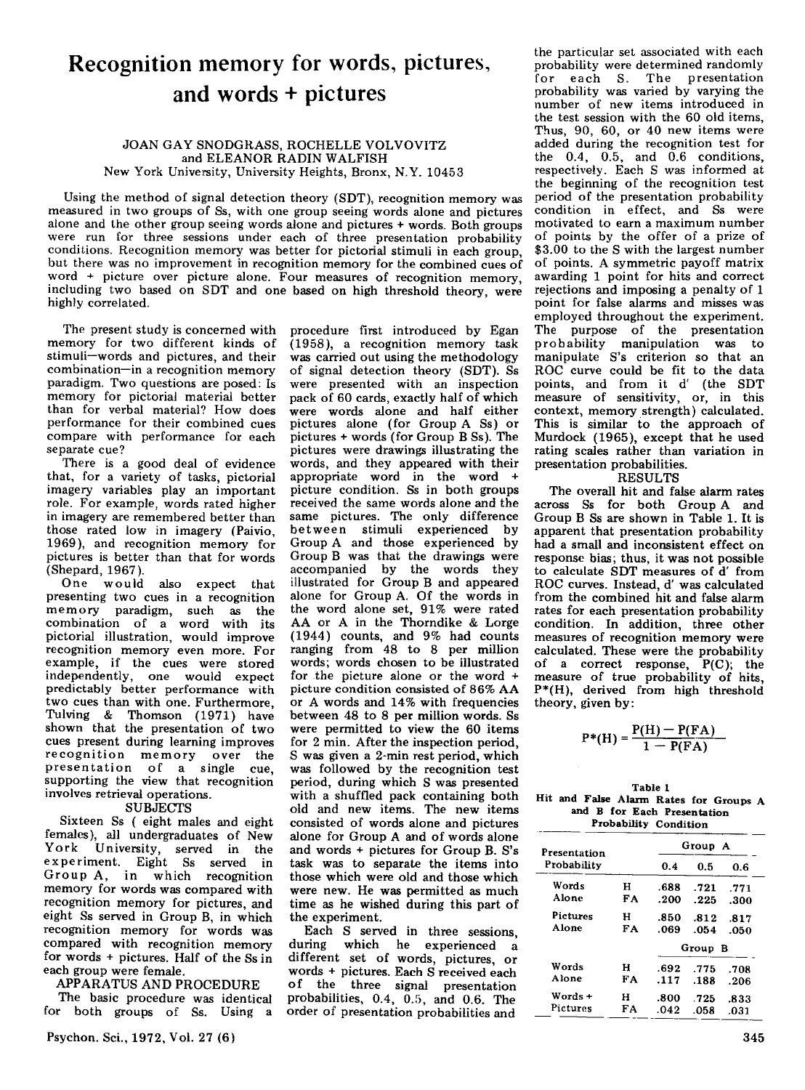# **Recognition memory for words, pictures, and words + pictures**

#### JOAN GAY SNODGRASS, ROCHELLE VOLVOVITZ and ELEANOR RADIN WALFISH New York University, University Heights, Bronx, N. Y. 10453

Using the method of signal detection theory (SDT), recognition memory was measured in two groups of Ss, with one group seeing words alone and pictures alone and the other group seeing words alone and pictures + words. Both groups were run for three sessions under each of three presentation probability conditions. Recognition memory was better for pictorial stimuli in each group, but there was no improvement in recognition memory for the combined cues of word + picture over picture alone. Four measures of recognition memory, including two based on SDT and one based on high threshold theory, were highly correlated.

The present study is concerned with memory for two different kinds of stimuli-words and pictures, and their combination-in a recognition memory paradigm. Two questions are posed: Is memory for pictorial material better than for verbal material? How does performance for their combined cues compare with performance for each separate cue?

There is a good deal of evidence that, for a variety of tasks, pictorial imagery variables play an important role. For example, words rated higher in imagery are remembered better than those rated low in imagery (Paivio, 1969), and recognition memory for pictures is better than that for words

(Shepard, 1967).<br>One would would also expect that presenting two cues in a recognition memory paradigm, such as the combination of a word with its pictorial illustration, would improve recognition memory even more. For example, if the cues were stored independently, one would expect predictably better performance with two cues than with one. Furthermore, Tulving & Thomson (1971) have shown that the presentation of two cues present during learning improves recognition memory over the presentation of a single cue, supporting the view that recognition involves retrieval operations.

## SUBJECTS

Sixteen Ss ( eight males and eight females), all undergraduates of New<br>York University, served in the University, served in the experiment. Eight Ss served in Group A, in which recognition memory for words was compared with recognition memory for pictures, and eight Ss served in Group B, in which recognition memory for words was compared with recognition memory for words + pictures. Half of the Ss in each group were female.

APPARATUS AND PROCEDURE The basic procedure was identical for both groups of Ss. Using a

procedure first introduced by Egan (1958), a recognition memory task was carried out using the methodology of signal detection theory (SDT). Ss were presented with an inspection pack of 60 cards, exactly half of which were words alone and half either pictures alone (for Group A Ss) or pictures + words (for Group B Ss). The pictures were drawings illustrating the words, and they appeared with their appropriate word in the word + picture condition. Ss in both groups received the same words alone and the same pictures. The only difference between stimuli experienced by Group A and those experienced by Group B was that the drawings were accompanied by the words they illustrated for Group B and appeared alone for Group A. Of the words in the word alone set, 91% were rated AA or A in the Thorndike & Lorge (1944) counts, and 9% had counts ranging from 48 to 8 per million words; words chosen to be illustrated for the picture alone or the word + picture condition consisted of 86% AA or A words and 14% with frequencies between 48 to 8 per million words. Ss were permitted to view the 60 items for 2 min. After the inspection period, S was given a 2-min rest period, which was followed by the recognition test period, during which S was presented with a shuffled pack containing both old and new items. The new items consisted of words alone and pictures alone for Group A and of words alone and words + pictures for Group B. S's task was to separate the items into those which were old and those which were new. He was permitted as much time as he wished during this part of the experiment.

Each S served in three sessions, during which he experienced a different set of words, pictures, or words + pictures. Each S received each of the three signal presentation probabilities, 0.4, 0.5, and 0.6. The order of presentation probabilities and

probability were determined randomly for each S. The presentation probability was varied by varying the number of new items introduced in the test session with the 60 old items, Thus, 90, 60, or 40 new items were added during the recognition test for the  $0.4$ ,  $0.5$ , and  $0.6$  conditions, respectively. Each S was informed at the beginning of the recognition test period of the presentation probability condition in effect, and Ss were motivated to earn a maximum number of points by the offer of a prize of \$3.00 to the S with the largest number of points. A symmetric payoff matrix awarding 1 point for hits and correct rejections and imposing a penalty of 1 point for false alarms and misses was employed throughout the experiment. The purpose of the presentation probability manipulation was to manipulate S's criterion so that an ROC curve could be fit to the data points, and from it d' (the SDT measure of sensitivity, or, in this context, memory strength) calculated. This is similar to the approach of Murdock (1965), except that he used rating scales rather than variation in presentation probabilities.

the particular set associated with each

## RESULTS

The overall hit and false alarm rates across Ss for both Group A and Group B Ss are shown in Table 1. It is apparent that presentation probability had a small and inconsistent effect on response bias; thus, it was not possible to calculate SDT measures of d' from ROC curves. Instead, d' was calculated from the combined hit and false alarm rates for each presentation probability condition. In addition, three other measures of recognition memory were calculated. These were the probability of a correct response, P(C); the measure of true probability of hits, P\*(H), derived from high threshold theory, given by:

$$
P^*(H) = \frac{P(H) - P(FA)}{1 - P(FA)}
$$

#### Table 1 Hit and False Alarm Rates for Groups A and B for Each Presentation Probability Condition

| Presentation |    | Group A |         |      |
|--------------|----|---------|---------|------|
| Probability  |    | 0.4     | 0.5     | 0.6  |
| Words        | н  | .688    | .721    | -771 |
| Alone        | FA | .200    | .225    | -300 |
| Pictures     | н  | .850    | .812    | .817 |
| Alone        | FА | .069    | .054    | .050 |
|              |    |         | Group B |      |
| Words        | н  | .692    | .775    | .708 |
| Alone        | FА | .117    | .188    | .206 |
| Words +      | н  | .800    | .725    | .833 |
| Pictures     | FA | .042    | .058    | .031 |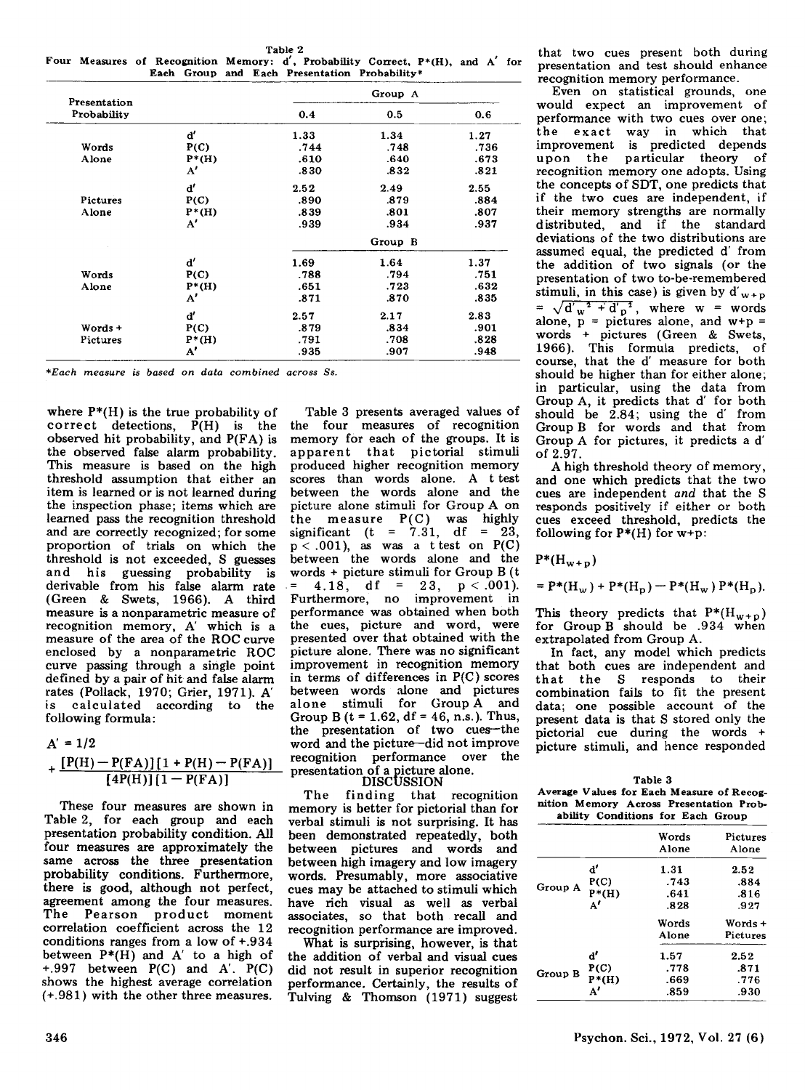Table 2 Four Measures of Recognition Memory:  $d'$ , Probability Correct, P\*(H), and A' for Each Group and Each Presentation Probability\*

| Presentation |               | Group A |         |      |
|--------------|---------------|---------|---------|------|
| Probability  |               | 0.4     | 0.5     | 0.6  |
|              | ď             | 1.33    | 1.34    | 1.27 |
| Words        | P(C)          | .744    | .748    | .736 |
| Alone        | $P^*(H)$      | .610    | .640    | .673 |
|              | A'            | .830    | .832    | .821 |
|              | $\mathbf{d'}$ | 2.52    | 2.49    | 2.55 |
| Pictures     | P(C)          | .890    | .879    | .884 |
| Alone        | $P^*(H)$      | .839    | .801    | .807 |
|              | A'            | .939    | .934    | .937 |
|              |               |         | Group B |      |
|              | $\mathbf{d}'$ | 1.69    | 1.64    | 1.37 |
| Words        | P(C)          | .788    | .794    | .751 |
| Alone        | $P^*(H)$      | .651    | .723    | .632 |
|              | A'            | .871    | .870    | .835 |
|              | ď             | 2.57    | 2.17    | 2.83 |
| Words +      | P(C)          | .879    | .834    | .901 |
| Pictures     | $P^*(H)$      | .791    | .708    | .828 |
|              | ${\bf A'}$    | .935    | .907    | .948 |

*\*Each measure is based on data combined across Ss.*

where  $P^*(H)$  is the true probability of correct detections, P(H) is the observed hit probability, and P(FA) is the observed false alarm probability. This measure is based on the high threshold assumption that either an item is learned or is not learned during the inspection phase; items which are learned pass the recognition threshold and are correctly recognized; for some proportion of trials on which the threshold is not exceeded, S guesses and his guessing probability is derivable from his false alarm rate (Green & Swets, 1966). A third measure is a nonparametric measure of recognition memory, A' which is a measure of the area of the ROC curve enclosed by a nonparametric ROC curve passing through a single point defined by a pair of hit and false alarm rates (Pollack, 1970; Grier, 1971). A' is calculated according to the following formula:

# $A' = 1/2$  $+$   $[P(H)-P(FA)][1+P(H)-P(FA)]$  $[4P(H)] [1-P(FA)]$

These four measures are shown in Table 2, for each group and each presentation probability condition. All four measures are approximately the same across the three presentation probability conditions. Furthermore, there is good, although not perfect, agreement among the four measures. The Pearson product moment correlation coefficient across the 12 conditions ranges from a low of +.934 between  $P^*(H)$  and  $A'$  to a high of +.997 between P(C) and A'. P(C) shows the highest average correlation (+.981) with the other three measures.

Table 3 presents averaged values of the four measures of recognition memory for each of the groups. It is apparent that pictorial stimuli produced higher recognition memory scores than words alone. A t test between the words alone and the picture alone stimuli for Group A on the measure P(C) was highly significant (t =  $7.31$ , df =  $23$ ,  $p < .001$ ), as was a ttest on  $P(C)$ between the words alone and the words + picture stimuli for Group B (t 4.18, df = 23,  $p < .001$ ). Furthermore, no improvement in performance was obtained when both the cues, picture and word, were presented over that obtained with the picture alone. There was no significant improvement in recognition memory in terms of differences in P(C) scores between words alone and pictures alone stimuli for Group A and Group B ( $t = 1.62$ ,  $df = 46$ , n.s.). Thus, the presentation of two cues-the word and the picture-did not improve recognition performance over the presentation of a picture alone. DISCUSSION

The finding that recognition memory is better for pictorial than for verbal stimuli is not surprising. It has been demonstrated repeatedly, both between pictures and words and between high imagery and low imagery words. Presumably, more associative cues may be attached to stimuli which have rich visual as well as verbal associates, so that both recall and recognition performance are improved.

What is surprising, however, is that the addition of verbal and visual cues did not result in superior recognition performance. Certainly, the results of Tulving & Thomson (1971) suggest

that two cues present both during presentation and test should enhance recognition memory performance.

Even on statistical grounds, one would expect an improvement of performance with two cues over one; the exact way in which that improvement is predicted depends upon the particular theory of recognition memory one adopts. Using the concepts of SDT, one predicts that if the two cues are independent, if their memory strengths are normally distributed, and if the standard deviations of the two distributions are assumed equal, the predicted d' from the addition of two signals (or the presentation of two to-be-remembered stimuli, in this case) is given by  $d'_{w + p}$  $=\sqrt{d^{\prime}w^2+d^{\prime}p^2}$ , where w = words alone,  $p =$  pictures alone, and  $w+p =$ words + pictures (Green & Swets, 1966). This formula predicts, of course, that the d' measure for both should be higher than for either alone; in particular, using the data from Group A, it predicts that d' for both should be 2.84; using the d' from Group B for words and that from Group A for pictures, it predicts a d' of 2.97.

A high threshold theory of memory, and one which predicts that the two cues are independent *and* that the S responds positively if either or both cues exceed threshold, predicts the following for  $P^*(H)$  for  $w+p$ :

$$
P^*(H_{w+p})
$$
  
= P\*(H\_w) + P\*(H\_p) - P\*(H\_w) P\*(H\_p).

This theory predicts that  $P^*(H_{w+ p})$ for Group B should be .934 when extrapolated from Group A.

In fact, any model which predicts that both cues are independent and that the S responds to their combination fails to fit the present data; one possible account of the present data is that S stored only the pictorial cue during the words + picture stimuli, and hence responded

Average Values for Each Measure of Recognition Memory Across Presentation Probability Conditions for Each Group

|         |          | Words<br>Alone | <b>Pictures</b><br>Alone |
|---------|----------|----------------|--------------------------|
| Group A | ď        | 1.31           | 2.52                     |
|         | P(C)     | .743           | .884                     |
|         | $P^*(H)$ | .641           | .816                     |
|         | A'       | .828           | .927                     |
|         |          | Words          | Words +                  |
|         |          | Alone          | Pictures                 |
| Group B | ď        | 1.57           | 2.52                     |
|         | P(C)     | .778           | .871                     |
|         | P*(H)    | .669           | .776                     |
|         | A'       | .859           | .930                     |